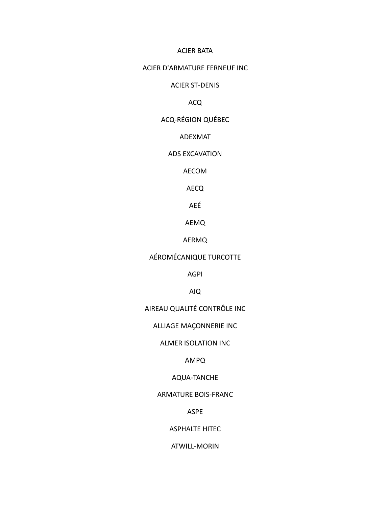#### **ACIER BATA**

### ACIER D'ARMATURE FERNEUF INC

### **ACIER ST-DENIS**

#### **ACQ**

### **ACQ-RÉGION QUÉBEC**

#### ADEXMAT

#### ADS EXCAVATION

### AECOM

### AECQ

# AEÉ

## AEMQ

### AERMQ

# AÉROMÉCANIQUE TURCOTTE

#### **AGPI**

### AIQ

# AIREAU QUALITÉ CONTRÔLE INC

## ALLIAGE MAÇONNERIE INC

#### ALMER ISOLATION INC

## AMPQ

## AQUA-TANCHE

### **ARMATURE BOIS-FRANC**

## ASPE

### **ASPHALTE HITEC**

#### ATWILL-MORIN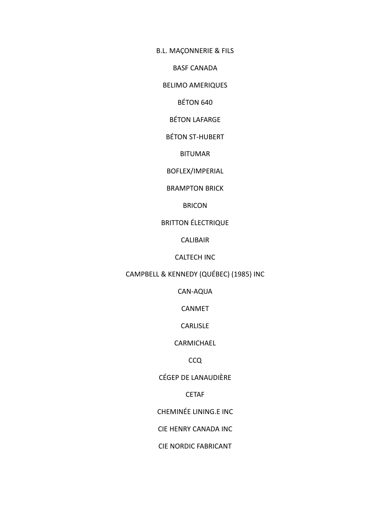B.L. MAÇONNERIE & FILS

BASF CANADA

BELIMO AMERIQUES

BÉTON 640

BÉTON LAFARGE

BÉTON ST-HUBERT

BITUMAR

BOFLEX/IMPERIAL

BRAMPTON BRICK

BRICON

BRITTON ÉLECTRIQUE

CALIBAIR

CALTECH INC

CAMPBELL & KENNEDY (QUÉBEC) (1985) INC

CAN-AQUA

CANMET

CARLISLE

CARMICHAEL

CCQ

CÉGEP DE LANAUDIÈRE

CETAF

CHEMINÉE LINING.E INC

CIE HENRY CANADA INC

CIE NORDIC FABRICANT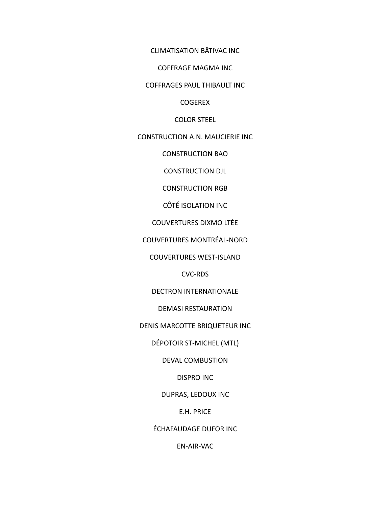CLIMATISATION BÂTIVAC INC

COFFRAGE MAGMA INC

COFFRAGES PAUL THIBAULT INC

COGEREX

COLOR STEEL

CONSTRUCTION A.N. MAUCIERIE INC

CONSTRUCTION BAO

CONSTRUCTION DJL

CONSTRUCTION RGB

CÔTÉ ISOLATION INC

COUVERTURES DIXMO LTÉE

COUVERTURES MONTRÉAL-NORD

COUVERTURES WEST-ISLAND

CVC-RDS

DECTRON INTERNATIONALE

DEMASI RESTAURATION

DENIS MARCOTTE BRIQUETEUR INC

DÉPOTOIR ST-MICHEL (MTL)

DEVAL COMBUSTION

DISPRO INC

DUPRAS, LEDOUX INC

E.H. PRICE

ÉCHAFAUDAGE DUFOR INC

EN-AIR-VAC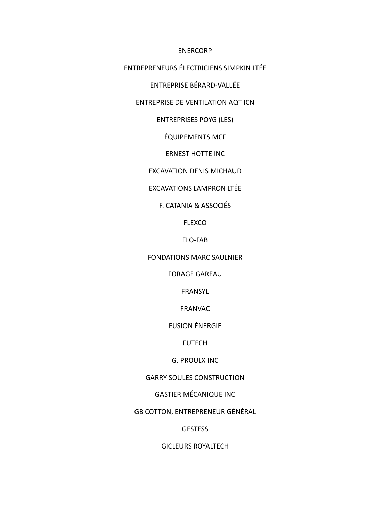#### ENERCORP

ENTREPRENEURS ÉLECTRICIENS SIMPKIN LTÉE

ENTREPRISE BÉRARD-VALLÉE

### ENTREPRISE DE VENTILATION AQT ICN

ENTREPRISES POYG (LES)

ÉQUIPEMENTS MCF

ERNEST HOTTE INC

EXCAVATION DENIS MICHAUD

EXCAVATIONS LAMPRON LTÉE

#### F. CATANIA & ASSOCIÉS

FLEXCO

FLO-FAB

FONDATIONS MARC SAULNIER

FORAGE GAREAU

FRANSYL

FRANVAC

FUSION ÉNERGIE

FUTECH

G. PROULX INC

GARRY SOULES CONSTRUCTION

GASTIER MÉCANIQUE INC

GB COTTON, ENTREPRENEUR GÉNÉRAL

**GESTESS** 

GICLEURS ROYALTECH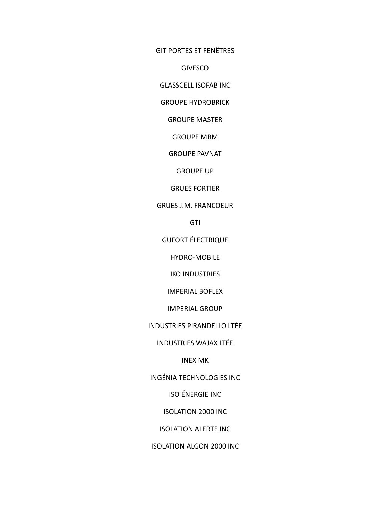GIT PORTES ET FENÊTRES

GIVESCO

GLASSCELL ISOFAB INC

GROUPE HYDROBRICK

GROUPE MASTER

GROUPE MBM

GROUPE PAVNAT

GROUPE UP

GRUES FORTIER

### GRUES J.M. FRANCOEUR

**GTI** 

GUFORT ÉLECTRIQUE

HYDRO-MOBILE

IKO INDUSTRIES

IMPERIAL BOFLEX

IMPERIAL GROUP

INDUSTRIES PIRANDELLO LTÉE

INDUSTRIES WAJAX LTÉE

INEX MK

INGÉNIA TECHNOLOGIES INC

ISO ÉNERGIE INC

ISOLATION 2000 INC

ISOLATION ALERTE INC

ISOLATION ALGON 2000 INC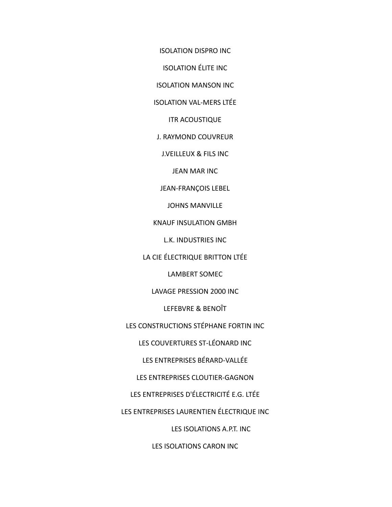ISOLATION DISPRO INC

ISOLATION ÉLITE INC

ISOLATION MANSON INC

ISOLATION VAL-MERS LTÉE

ITR ACOUSTIQUE

J. RAYMOND COUVREUR

J.VEILLEUX & FILS INC

JEAN MAR INC

JEAN-FRANÇOIS LEBEL

JOHNS MANVILLE

KNAUF INSULATION GMBH

L.K. INDUSTRIES INC

LA CIE ÉLECTRIQUE BRITTON LTÉE

LAMBERT SOMEC

LAVAGE PRESSION 2000 INC

LEFEBVRE & BENOÎT

LES CONSTRUCTIONS STÉPHANE FORTIN INC

LES COUVERTURES ST-LÉONARD INC

LES ENTREPRISES BÉRARD-VALLÉE

LES ENTREPRISES CLOUTIER-GAGNON

LES ENTREPRISES D'ÉLECTRICITÉ E.G. LTÉE

LES ENTREPRISES LAURENTIEN ÉLECTRIQUE INC

LES ISOLATIONS A.P.T. INC

LES ISOLATIONS CARON INC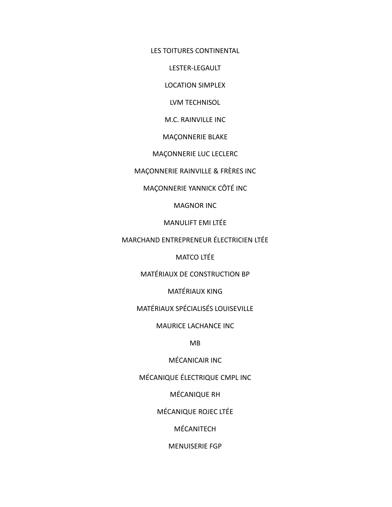LES TOITURES CONTINENTAL

LESTER-LEGAULT

LOCATION SIMPLEX

LVM TECHNISOL

M.C. RAINVILLE INC

MAÇONNERIE BLAKE

MAÇONNERIE LUC LECLERC

MAÇONNERIE RAINVILLE & FRÈRES INC

MAÇONNERIE YANNICK CÔTÉ INC

MAGNOR INC

MANULIFT EMI LTÉE

MARCHAND ENTREPRENEUR ÉLECTRICIEN LTÉE

MATCO LTÉE

MATÉRIAUX DE CONSTRUCTION BP

MATÉRIAUX KING

MATÉRIAUX SPÉCIALISÉS LOUISEVILLE

MAURICE LACHANCE INC

MB

MÉCANICAIR INC

MÉCANIQUE ÉLECTRIQUE CMPL INC

MÉCANIQUE RH

MÉCANIQUE ROJEC LTÉE

MÉCANITECH

MENUISERIE FGP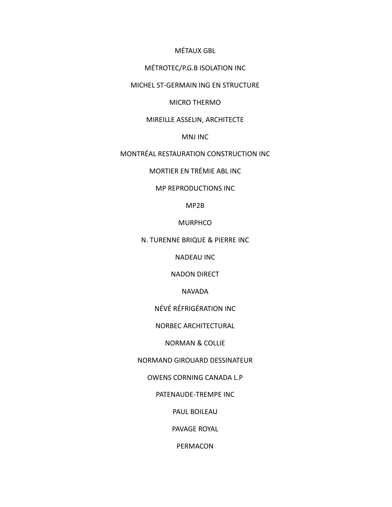MÉTAUX GBL

### MÉTROTEC/P.G.B ISOLATION INC

MICHEL ST-GERMAIN ING EN STRUCTURE

MICRO THERMO

#### MIREILLE ASSELIN, ARCHITECTE

MNJ INC

MONTRÉAL RESTAURATION CONSTRUCTION INC

MORTIER EN TRÉMIE ABL INC

MP REPRODUCTIONS INC

MP2B

**MURPHCO** 

N. TURENNE BRIQUE & PIERRE INC

NADEAU INC

NADON DIRECT

NAVADA

NÉVÉ RÉFRIGÉRATION INC

NORBEC ARCHITECTURAL

NORMAN & COLLIE

NORMAND GIROUARD DESSINATEUR

OWENS CORNING CANADA L.P

PATENAUDE-TREMPE INC

PAUL BOILEAU

PAVAGE ROYAL

PERMACON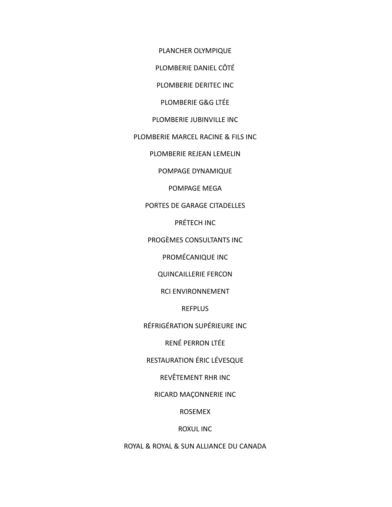PLANCHER OLYMPIQUE

PLOMBERIE DANIEL CÔTÉ

PLOMBERIE DERITEC INC

PLOMBERIE G&G LTÉE

PLOMBERIE JUBINVILLE INC

PLOMBERIE MARCEL RACINE & FILS INC

PLOMBERIE REJEAN LEMELIN

POMPAGE DYNAMIQUE

POMPAGE MEGA

PORTES DE GARAGE CITADELLES

PRÉTECH INC

PROGÈMES CONSULTANTS INC

PROMÉCANIQUE INC

QUINCAILLERIE FERCON

RCI ENVIRONNEMENT

**REFPLUS** 

RÉFRIGÉRATION SUPÉRIEURE INC

RENÉ PERRON LTÉE

RESTAURATION ÉRIC LÉVESQUE

REVÊTEMENT RHR INC

RICARD MAÇONNERIE INC

ROSEMEX

ROXUL INC

ROYAL & ROYAL & SUN ALLIANCE DU CANADA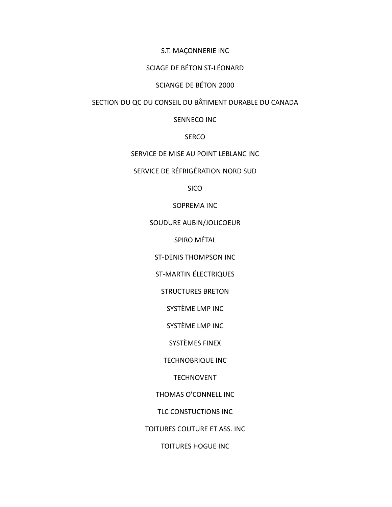#### S.T. MAÇONNERIE INC

## SCIAGE DE BÉTON ST-LÉONARD

## SCIANGE DE BÉTON 2000

## SECTION DU QC DU CONSEIL DU BÂTIMENT DURABLE DU CANADA

#### SENNECO INC

#### SERCO

#### SERVICE DE MISE AU POINT LEBLANC INC

## SERVICE DE RÉFRIGÉRATION NORD SUD

SICO

### SOPREMA INC

### SOUDURE AUBIN/JOLICOEUR

SPIRO MÉTAL

ST-DENIS THOMPSON INC

ST-MARTIN ÉLECTRIQUES

STRUCTURES BRETON

SYSTÈME LMP INC

SYSTÈME LMP INC

SYSTÈMES FINEX

TECHNOBRIQUE INC

TECHNOVENT

THOMAS O'CONNELL INC

TLC CONSTUCTIONS INC

TOITURES COUTURE ET ASS. INC

TOITURES HOGUE INC